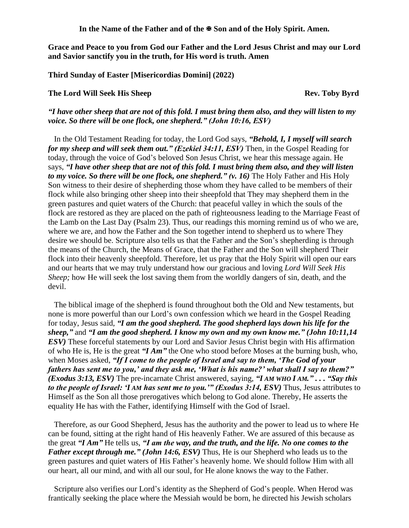In the Name of the Father and of the  $\mathbb{F}$  Son and of the Holy Spirit. Amen.

**Grace and Peace to you from God our Father and the Lord Jesus Christ and may our Lord and Savior sanctify you in the truth, for His word is truth. Amen**

**Third Sunday of Easter [Misericordias Domini] (2022)**

## **The Lord Will Seek His Sheep Rev. Toby Byrd**

## *"I have other sheep that are not of this fold. I must bring them also, and they will listen to my voice. So there will be one flock, one shepherd." (John 10:16, ESV)*

In the Old Testament Reading for today, the Lord God says, *"Behold, I, I myself will search for my sheep and will seek them out.*" *(Ezekiel 34:11, ESV)* Then, in the Gospel Reading for today, through the voice of God's beloved Son Jesus Christ, we hear this message again. He says, *"I have other sheep that are not of this fold. I must bring them also, and they will listen to my voice. So there will be one flock, one shepherd." (v. 16)* The Holy Father and His Holy Son witness to their desire of shepherding those whom they have called to be members of their flock while also bringing other sheep into their sheepfold that They may shepherd them in the green pastures and quiet waters of the Church: that peaceful valley in which the souls of the flock are restored as they are placed on the path of righteousness leading to the Marriage Feast of the Lamb on the Last Day (Psalm 23). Thus, our readings this morning remind us of who we are, where we are, and how the Father and the Son together intend to shepherd us to where They desire we should be. Scripture also tells us that the Father and the Son's shepherding is through the means of the Church, the Means of Grace, that the Father and the Son will shepherd Their flock into their heavenly sheepfold. Therefore, let us pray that the Holy Spirit will open our ears and our hearts that we may truly understand how our gracious and loving *Lord Will Seek His Sheep;* how He will seek the lost saving them from the worldly dangers of sin, death, and the devil.

The biblical image of the shepherd is found throughout both the Old and New testaments, but none is more powerful than our Lord's own confession which we heard in the Gospel Reading for today, Jesus said, *"I am the good shepherd. The good shepherd lays down his life for the sheep,"* and *"I am the good shepherd. I know my own and my own know me." (John 10:11,14 ESV*) These forceful statements by our Lord and Savior Jesus Christ begin with His affirmation of who He is, He is the great *"I Am"* the One who stood before Moses at the burning bush, who, when Moses asked, *"If I come to the people of Israel and say to them, 'The God of your fathers has sent me to you,' and they ask me, 'What is his name?' what shall I say to them?" (Exodus 3:13, ESV)* The pre-incarnate Christ answered, saying, *"I AM WHO I AM." . . . "Say this to the people of Israel: 'I AM has sent me to you.'" (Exodus 3:14, ESV)* Thus, Jesus attributes to Himself as the Son all those prerogatives which belong to God alone. Thereby, He asserts the equality He has with the Father, identifying Himself with the God of Israel.

Therefore, as our Good Shepherd, Jesus has the authority and the power to lead us to where He can be found, sitting at the right hand of His heavenly Father. We are assured of this because as the great *"I Am"* He tells us, *"I am the way, and the truth, and the life. No one comes to the Father except through me.*" *(John 14:6, ESV)* Thus, He is our Shepherd who leads us to the green pastures and quiet waters of His Father's heavenly home. We should follow Him with all our heart, all our mind, and with all our soul, for He alone knows the way to the Father.

Scripture also verifies our Lord's identity as the Shepherd of God's people. When Herod was frantically seeking the place where the Messiah would be born, he directed his Jewish scholars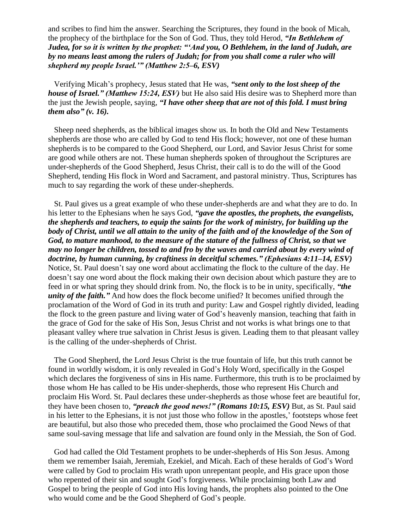and scribes to find him the answer. Searching the Scriptures, they found in the book of Micah, the prophecy of the birthplace for the Son of God. Thus, they told Herod, *"In Bethlehem of Judea, for so it is written by the prophet: "'And you, O Bethlehem, in the land of Judah, are by no means least among the rulers of Judah; for from you shall come a ruler who will shepherd my people Israel.'" (Matthew 2:5–6, ESV)*

Verifying Micah's prophecy, Jesus stated that He was, *"sent only to the lost sheep of the house of Israel." (Matthew 15:24, ESV)* but He also said His desire was to Shepherd more than the just the Jewish people, saying, *"I have other sheep that are not of this fold. I must bring them also" (v. 16).*

Sheep need shepherds, as the biblical images show us. In both the Old and New Testaments shepherds are those who are called by God to tend His flock; however, not one of these human shepherds is to be compared to the Good Shepherd, our Lord, and Savior Jesus Christ for some are good while others are not. These human shepherds spoken of throughout the Scriptures are under-shepherds of the Good Shepherd, Jesus Christ, their call is to do the will of the Good Shepherd, tending His flock in Word and Sacrament, and pastoral ministry. Thus, Scriptures has much to say regarding the work of these under-shepherds.

St. Paul gives us a great example of who these under-shepherds are and what they are to do. In his letter to the Ephesians when he says God, *"gave the apostles, the prophets, the evangelists, the shepherds and teachers, to equip the saints for the work of ministry, for building up the*  body of Christ, until we all attain to the unity of the faith and of the knowledge of the Son of *God, to mature manhood, to the measure of the stature of the fullness of Christ, so that we may no longer be children, tossed to and fro by the waves and carried about by every wind of doctrine, by human cunning, by craftiness in deceitful schemes." (Ephesians 4:11–14, ESV)* Notice, St. Paul doesn't say one word about acclimating the flock to the culture of the day. He doesn't say one word about the flock making their own decision about which pasture they are to feed in or what spring they should drink from. No, the flock is to be in unity, specifically, *"the unity of the faith.*" And how does the flock become unified? It becomes unified through the proclamation of the Word of God in its truth and purity: Law and Gospel rightly divided, leading the flock to the green pasture and living water of God's heavenly mansion, teaching that faith in the grace of God for the sake of His Son, Jesus Christ and not works is what brings one to that pleasant valley where true salvation in Christ Jesus is given. Leading them to that pleasant valley is the calling of the under-shepherds of Christ.

The Good Shepherd, the Lord Jesus Christ is the true fountain of life, but this truth cannot be found in worldly wisdom, it is only revealed in God's Holy Word, specifically in the Gospel which declares the forgiveness of sins in His name. Furthermore, this truth is to be proclaimed by those whom He has called to be His under-shepherds, those who represent His Church and proclaim His Word. St. Paul declares these under-shepherds as those whose feet are beautiful for, they have been chosen to, *"preach the good news!" (Romans 10:15, ESV)* But, as St. Paul said in his letter to the Ephesians, it is not just those who follow in the apostles,' footsteps whose feet are beautiful, but also those who preceded them, those who proclaimed the Good News of that same soul-saving message that life and salvation are found only in the Messiah, the Son of God.

God had called the Old Testament prophets to be under-shepherds of His Son Jesus. Among them we remember Isaiah, Jeremiah, Ezekiel, and Micah. Each of these heralds of God's Word were called by God to proclaim His wrath upon unrepentant people, and His grace upon those who repented of their sin and sought God's forgiveness. While proclaiming both Law and Gospel to bring the people of God into His loving hands, the prophets also pointed to the One who would come and be the Good Shepherd of God's people.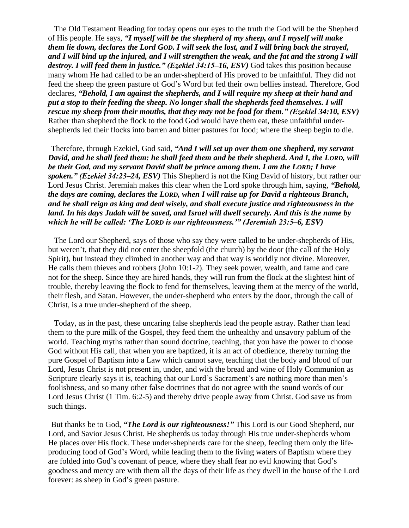The Old Testament Reading for today opens our eyes to the truth the God will be the Shepherd of His people. He says, *"I myself will be the shepherd of my sheep, and I myself will make them lie down, declares the Lord GOD. I will seek the lost, and I will bring back the strayed, and I will bind up the injured, and I will strengthen the weak, and the fat and the strong I will destroy. I will feed them in justice." (Ezekiel 34:15–16, ESV)* God takes this position because many whom He had called to be an under-shepherd of His proved to be unfaithful. They did not feed the sheep the green pasture of God's Word but fed their own bellies instead. Therefore, God declares, *"Behold, I am against the shepherds, and I will require my sheep at their hand and put a stop to their feeding the sheep. No longer shall the shepherds feed themselves. I will rescue my sheep from their mouths, that they may not be food for them." (Ezekiel 34:10, ESV)*  Rather than shepherd the flock to the food God would have them eat, these unfaithful undershepherds led their flocks into barren and bitter pastures for food; where the sheep begin to die.

Therefore, through Ezekiel, God said, *"And I will set up over them one shepherd, my servant David, and he shall feed them: he shall feed them and be their shepherd. And I, the LORD, will be their God, and my servant David shall be prince among them. I am the LORD; I have spoken." (Ezekiel 34:23–24, ESV)* This Shepherd is not the King David of history, but rather our Lord Jesus Christ. Jeremiah makes this clear when the Lord spoke through him, saying, *"Behold, the days are coming, declares the LORD, when I will raise up for David a righteous Branch, and he shall reign as king and deal wisely, and shall execute justice and righteousness in the land. In his days Judah will be saved, and Israel will dwell securely. And this is the name by which he will be called: 'The LORD is our righteousness.'" (Jeremiah 23:5–6, ESV)*

The Lord our Shepherd, says of those who say they were called to be under-shepherds of His, but weren't, that they did not enter the sheepfold (the church) by the door (the call of the Holy Spirit), but instead they climbed in another way and that way is worldly not divine. Moreover, He calls them thieves and robbers (John 10:1-2). They seek power, wealth, and fame and care not for the sheep. Since they are hired hands, they will run from the flock at the slightest hint of trouble, thereby leaving the flock to fend for themselves, leaving them at the mercy of the world, their flesh, and Satan. However, the under-shepherd who enters by the door, through the call of Christ, is a true under-shepherd of the sheep.

Today, as in the past, these uncaring false shepherds lead the people astray. Rather than lead them to the pure milk of the Gospel, they feed them the unhealthy and unsavory pablum of the world. Teaching myths rather than sound doctrine, teaching, that you have the power to choose God without His call, that when you are baptized, it is an act of obedience, thereby turning the pure Gospel of Baptism into a Law which cannot save, teaching that the body and blood of our Lord, Jesus Christ is not present in, under, and with the bread and wine of Holy Communion as Scripture clearly says it is, teaching that our Lord's Sacrament's are nothing more than men's foolishness, and so many other false doctrines that do not agree with the sound words of our Lord Jesus Christ (1 Tim. 6:2-5) and thereby drive people away from Christ. God save us from such things.

But thanks be to God, *"The Lord is our righteousness!"* This Lord is our Good Shepherd, our Lord, and Savior Jesus Christ. He shepherds us today through His true under-shepherds whom He places over His flock. These under-shepherds care for the sheep, feeding them only the lifeproducing food of God's Word, while leading them to the living waters of Baptism where they are folded into God's covenant of peace, where they shall fear no evil knowing that God's goodness and mercy are with them all the days of their life as they dwell in the house of the Lord forever: as sheep in God's green pasture.